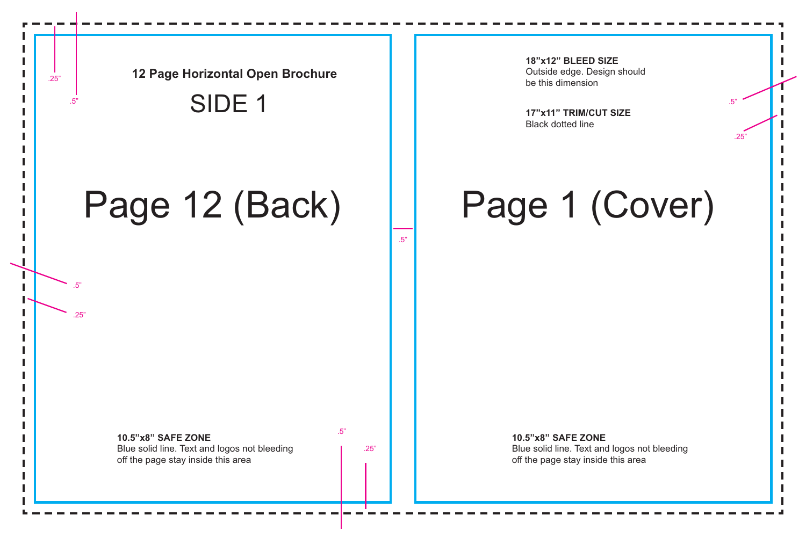.25"

**18"x12" BLEED SIZE**

Outside edge. Design should

## Page 1 (Cover)

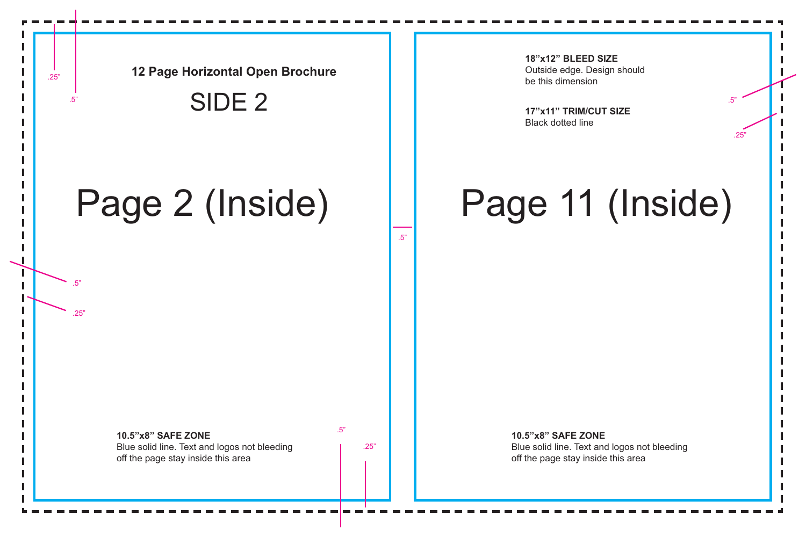.25"

**18"x12" BLEED SIZE** Outside edge. Design should be this dimension

## Page 11 (Inside)

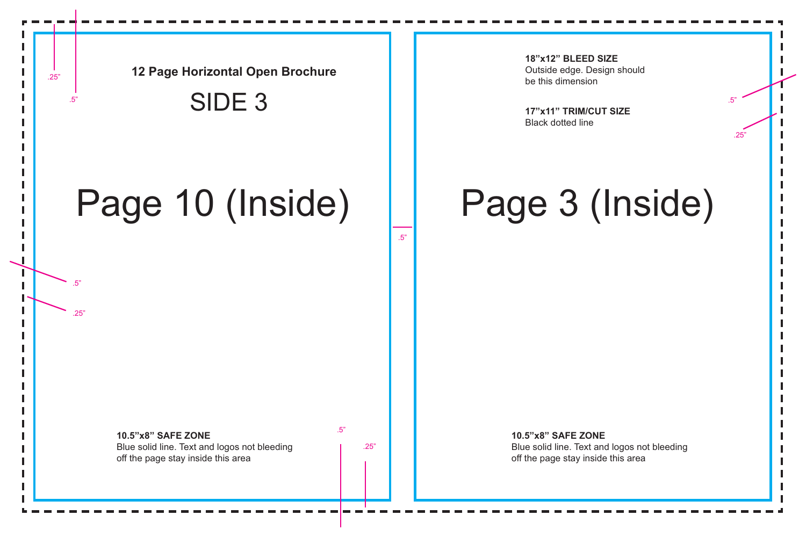.25"

**18"x12" BLEED SIZE** Outside edge. Design should be this dimension

# Page 3 (Inside)

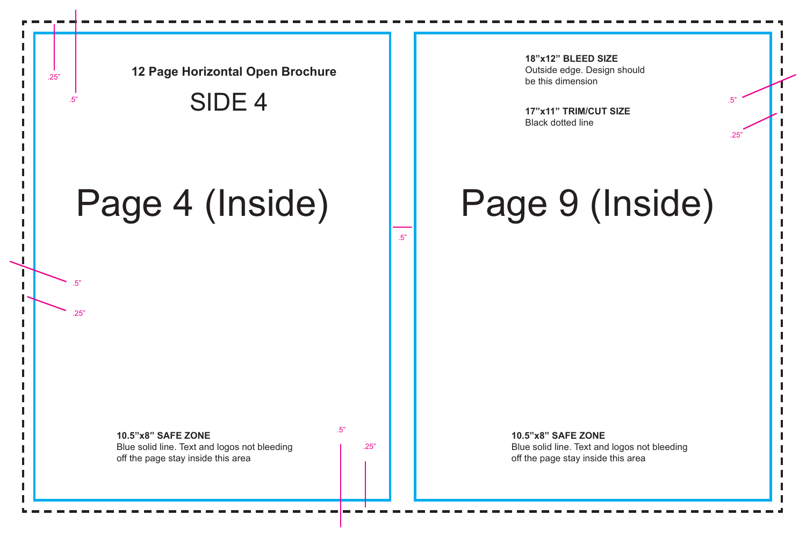.25"

**18"x12" BLEED SIZE** Outside edge. Design should be this dimension

# Page 9 (Inside)

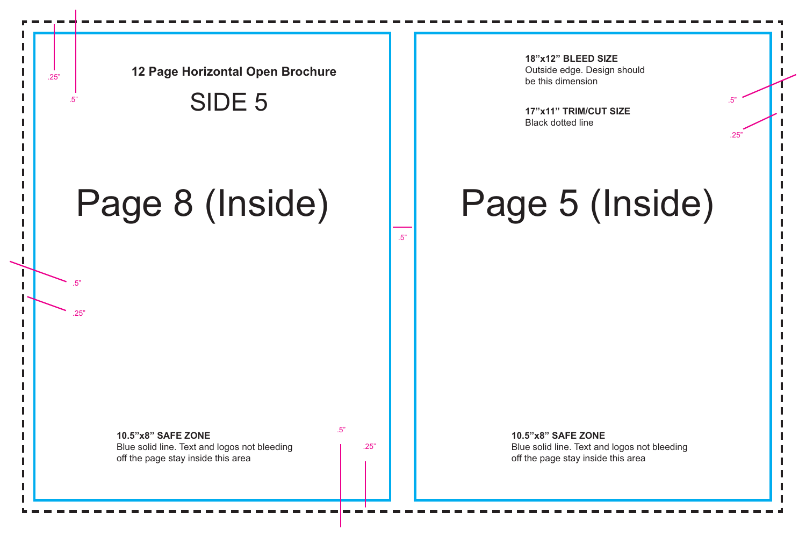.25"

**18"x12" BLEED SIZE** Outside edge. Design should be this dimension

# Page 5 (Inside)